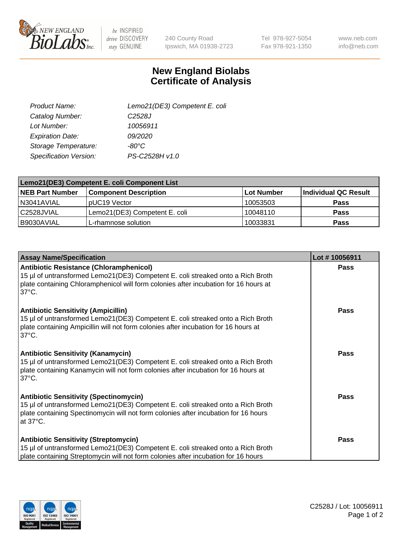

 $be$  INSPIRED drive DISCOVERY stay GENUINE

240 County Road Ipswich, MA 01938-2723 Tel 978-927-5054 Fax 978-921-1350

www.neb.com info@neb.com

## **New England Biolabs Certificate of Analysis**

| Lemo21(DE3) Competent E. coli |
|-------------------------------|
| C <sub>2528</sub> J           |
| 10056911                      |
| 09/2020                       |
| -80°C                         |
| PS-C2528H v1.0                |
|                               |

| Lemo21(DE3) Competent E. coli Component List |                               |                   |                      |  |
|----------------------------------------------|-------------------------------|-------------------|----------------------|--|
| <b>NEB Part Number</b>                       | <b>Component Description</b>  | <b>Lot Number</b> | Individual QC Result |  |
| I N3041AVIAL                                 | IpUC19 Vector                 | 10053503          | Pass                 |  |
| C2528JVIAL                                   | Lemo21(DE3) Competent E. coli | 10048110          | Pass                 |  |
| B9030AVIAL                                   | L-rhamnose solution           | 10033831          | <b>Pass</b>          |  |

| <b>Assay Name/Specification</b>                                                                                                                                                                                                              | Lot #10056911 |
|----------------------------------------------------------------------------------------------------------------------------------------------------------------------------------------------------------------------------------------------|---------------|
| <b>Antibiotic Resistance (Chloramphenicol)</b><br>15 µl of untransformed Lemo21(DE3) Competent E. coli streaked onto a Rich Broth<br>plate containing Chloramphenicol will form colonies after incubation for 16 hours at<br>$37^{\circ}$ C. | <b>Pass</b>   |
| <b>Antibiotic Sensitivity (Ampicillin)</b><br>15 µl of untransformed Lemo21(DE3) Competent E. coli streaked onto a Rich Broth<br>plate containing Ampicillin will not form colonies after incubation for 16 hours at<br>$37^{\circ}$ C.      | Pass          |
| <b>Antibiotic Sensitivity (Kanamycin)</b><br>15 µl of untransformed Lemo21(DE3) Competent E. coli streaked onto a Rich Broth<br>plate containing Kanamycin will not form colonies after incubation for 16 hours at<br>$37^{\circ}$ C.        | <b>Pass</b>   |
| <b>Antibiotic Sensitivity (Spectinomycin)</b><br>15 µl of untransformed Lemo21(DE3) Competent E. coli streaked onto a Rich Broth<br>plate containing Spectinomycin will not form colonies after incubation for 16 hours<br>at 37°C.          | Pass          |
| <b>Antibiotic Sensitivity (Streptomycin)</b><br>15 µl of untransformed Lemo21(DE3) Competent E. coli streaked onto a Rich Broth<br>plate containing Streptomycin will not form colonies after incubation for 16 hours                        | Pass          |